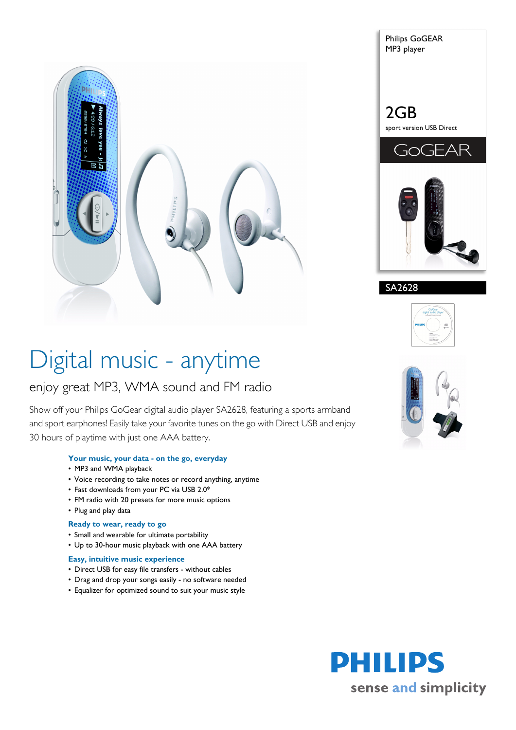



SA2628

# Digital music - anytime

# enjoy great MP3, WMA sound and FM radio

Show off your Philips GoGear digital audio player SA2628, featuring a sports armband and sport earphones! Easily take your favorite tunes on the go with Direct USB and enjoy 30 hours of playtime with just one AAA battery.

## **Your music, your data - on the go, everyday**

- MP3 and WMA playback
- Voice recording to take notes or record anything, anytime
- Fast downloads from your PC via USB 2.0\*
- FM radio with 20 presets for more music options
- Plug and play data

#### **Ready to wear, ready to go**

- Small and wearable for ultimate portability
- Up to 30-hour music playback with one AAA battery

#### **Easy, intuitive music experience**

- Direct USB for easy file transfers without cables
- Drag and drop your songs easily no software needed
- Equalizer for optimized sound to suit your music style